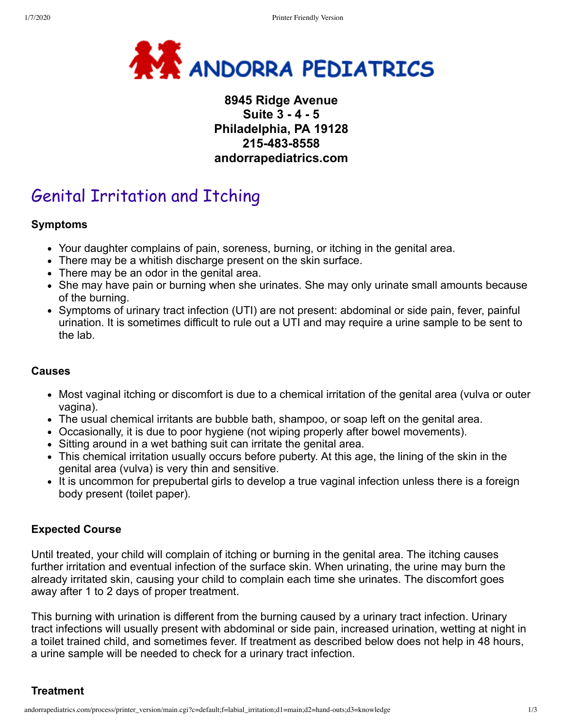

# **8945 Ridge Avenue Suite 3 - 4 - 5 Philadelphia, PA 19128 215-483-8558 andorrapediatrics.com**

# Genital Irritation and Itching

#### **Symptoms**

- Your daughter complains of pain, soreness, burning, or itching in the genital area.
- There may be a whitish discharge present on the skin surface.
- There may be an odor in the genital area.
- She may have pain or burning when she urinates. She may only urinate small amounts because of the burning.
- Symptoms of urinary tract infection (UTI) are not present: abdominal or side pain, fever, painful urination. It is sometimes difficult to rule out a UTI and may require a urine sample to be sent to the lab.

#### **Causes**

- Most vaginal itching or discomfort is due to a chemical irritation of the genital area (vulva or outer vagina).
- The usual chemical irritants are bubble bath, shampoo, or soap left on the genital area.
- Occasionally, it is due to poor hygiene (not wiping properly after bowel movements).
- Sitting around in a wet bathing suit can irritate the genital area.
- This chemical irritation usually occurs before puberty. At this age, the lining of the skin in the genital area (vulva) is very thin and sensitive.
- It is uncommon for prepubertal girls to develop a true vaginal infection unless there is a foreign body present (toilet paper).

## **Expected Course**

Until treated, your child will complain of itching or burning in the genital area. The itching causes further irritation and eventual infection of the surface skin. When urinating, the urine may burn the already irritated skin, causing your child to complain each time she urinates. The discomfort goes away after 1 to 2 days of proper treatment.

This burning with urination is different from the burning caused by a urinary tract infection. Urinary tract infections will usually present with abdominal or side pain, increased urination, wetting at night in a toilet trained child, and sometimes fever. If treatment as described below does not help in 48 hours, a urine sample will be needed to check for a urinary tract infection.

**Treatment**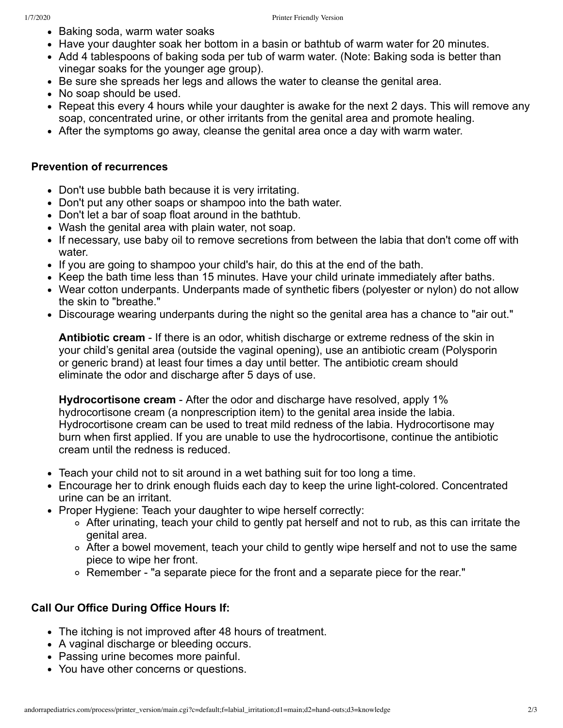- Baking soda, warm water soaks
- Have your daughter soak her bottom in a basin or bathtub of warm water for 20 minutes.
- Add 4 tablespoons of baking soda per tub of warm water. (Note: Baking soda is better than vinegar soaks for the younger age group).
- Be sure she spreads her legs and allows the water to cleanse the genital area.
- No soap should be used.
- Repeat this every 4 hours while your daughter is awake for the next 2 days. This will remove any soap, concentrated urine, or other irritants from the genital area and promote healing.
- After the symptoms go away, cleanse the genital area once a day with warm water.

### **Prevention of recurrences**

- Don't use bubble bath because it is very irritating.
- Don't put any other soaps or shampoo into the bath water.
- Don't let a bar of soap float around in the bathtub.
- Wash the genital area with plain water, not soap.
- If necessary, use baby oil to remove secretions from between the labia that don't come off with water.
- If you are going to shampoo your child's hair, do this at the end of the bath.
- Keep the bath time less than 15 minutes. Have your child urinate immediately after baths.
- Wear cotton underpants. Underpants made of synthetic fibers (polyester or nylon) do not allow the skin to "breathe."
- Discourage wearing underpants during the night so the genital area has a chance to "air out."

**Antibiotic cream** - If there is an odor, whitish discharge or extreme redness of the skin in your child's genital area (outside the vaginal opening), use an antibiotic cream (Polysporin or generic brand) at least four times a day until better. The antibiotic cream should eliminate the odor and discharge after 5 days of use.

**Hydrocortisone cream** - After the odor and discharge have resolved, apply 1% hydrocortisone cream (a nonprescription item) to the genital area inside the labia. Hydrocortisone cream can be used to treat mild redness of the labia. Hydrocortisone may burn when first applied. If you are unable to use the hydrocortisone, continue the antibiotic cream until the redness is reduced.

- Teach your child not to sit around in a wet bathing suit for too long a time.
- Encourage her to drink enough fluids each day to keep the urine light-colored. Concentrated urine can be an irritant.
- Proper Hygiene: Teach your daughter to wipe herself correctly:
	- After urinating, teach your child to gently pat herself and not to rub, as this can irritate the genital area.
	- After a bowel movement, teach your child to gently wipe herself and not to use the same piece to wipe her front.
	- Remember "a separate piece for the front and a separate piece for the rear."

# **Call Our Office During Office Hours If:**

- The itching is not improved after 48 hours of treatment.
- A vaginal discharge or bleeding occurs.
- Passing urine becomes more painful.
- You have other concerns or questions.